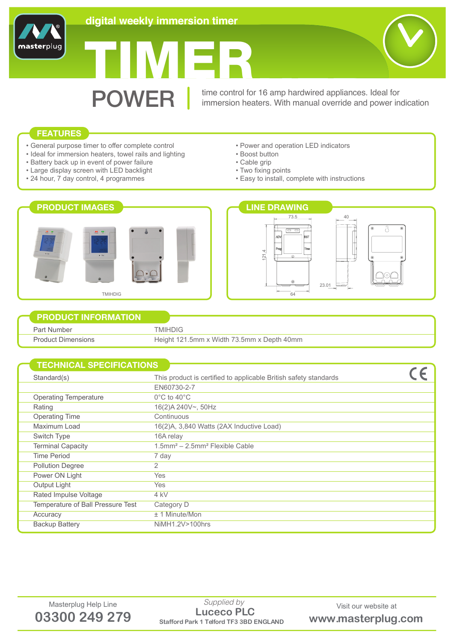

# TIMER

**POWER** time control for 16 amp hardwired appliances. Ideal for immersion heaters. With manual override and power in immersion heaters. With manual override and power indication

# **FEATURES**

masterplug

- General purpose timer to offer complete control
- Ideal for immersion heaters, towel rails and lighting
- Battery back up in event of power failure
- Large display screen with LED backlight
- 24 hour, 7 day control, 4 programmes
- Power and operation LED indicators
- Boost button
- Cable grip
- Two fixing points
- Easy to install, complete with instructions



# **PRODUCT INFORMATION**

Part Number Product Dimensions TMIHDIG Height 121.5mm x Width 73.5mm x Depth 40mm

| <b>TECHNICAL SPECIFICATIONS</b>   |                                                                  |  |
|-----------------------------------|------------------------------------------------------------------|--|
| Standard(s)                       | This product is certified to applicable British safety standards |  |
|                                   | EN60730-2-7                                                      |  |
| <b>Operating Temperature</b>      | $0^{\circ}$ C to 40 $^{\circ}$ C                                 |  |
| Rating                            | 16(2)A 240V~, 50Hz                                               |  |
| <b>Operating Time</b>             | Continuous                                                       |  |
| Maximum Load                      | 16(2)A, 3,840 Watts (2AX Inductive Load)                         |  |
| Switch Type                       | 16A relay                                                        |  |
| <b>Terminal Capacity</b>          | $1.5$ mm <sup>2</sup> - $2.5$ mm <sup>2</sup> Flexible Cable     |  |
| Time Period                       | 7 day                                                            |  |
| <b>Pollution Degree</b>           | 2                                                                |  |
| Power ON Light                    | <b>Yes</b>                                                       |  |
| Output Light                      | <b>Yes</b>                                                       |  |
| Rated Impulse Voltage             | 4 kV                                                             |  |
| Temperature of Ball Pressure Test | Category D                                                       |  |
| Accuracy                          | $± 1$ Minute/Mon                                                 |  |
| <b>Backup Battery</b>             | NiMH1.2V>100hrs                                                  |  |
|                                   |                                                                  |  |

Masterplug Help Line Supplied by Supplied by Visit our website at **03300 249 279 Stafford Park 1 Telford TF3 3BD ENGLAND www.masterplug.com Luceco PLC** *Supplied by*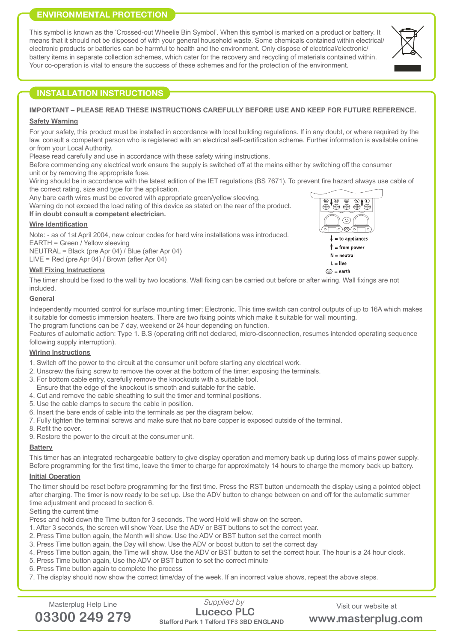# **ENVIRONMENTAL PROTECTION**

This symbol is known as the 'Crossed-out Wheelie Bin Symbol'. When this symbol is marked on a product or battery. It means that it should not be disposed of with your general household waste. Some chemicals contained within electrical/ electronic products or batteries can be harmful to health and the environment. Only dispose of electrical/electronic/ battery items in separate collection schemes, which cater for the recovery and recycling of materials contained within. Your co-operation is vital to ensure the success of these schemes and for the protection of the environment.



#### **IMPORTANT – PLEASE READ THESE INSTRUCTIONS CAREFULLY BEFORE USE AND KEEP FOR FUTURE REFERENCE.**

#### **Safety Warning**

For your safety, this product must be installed in accordance with local building regulations. If in any doubt, or where required by the law, consult a competent person who is registered with an electrical self-certification scheme. Further information is available online or from your Local Authority.

Please read carefully and use in accordance with these safety wiring instructions.

Before commencing any electrical work ensure the supply is switched off at the mains either by switching off the consumer unit or by removing the appropriate fuse.

Wiring should be in accordance with the latest edition of the IET regulations (BS 7671). To prevent fire hazard always use cable of the correct rating, size and type for the application.

Any bare earth wires must be covered with appropriate green/yellow sleeving.

Warning do not exceed the load rating of this device as stated on the rear of the product. **If in doubt consult a competent electrician.**

## **Wire Identification**

Note: - as of 1st April 2004, new colour codes for hard wire installations was introduced. EARTH = Green / Yellow sleeving NEUTRAL = Black (pre Apr 04) / Blue (after Apr 04)

LIVE = Red (pre Apr 04) / Brown (after Apr 04)

## **Wall Fixing Instructions**

The timer should be fixed to the wall by two locations. Wall fixing can be carried out before or after wiring. Wall fixings are not included.

#### **General**

Independently mounted control for surface mounting timer; Electronic. This time switch can control outputs of up to 16A which makes it suitable for domestic immersion heaters. There are two fixing points which make it suitable for wall mounting.

The program functions can be 7 day, weekend or 24 hour depending on function. Features of automatic action: Type 1. B.S (operating drift not declared, micro-disconnection, resumes intended operating sequence following supply interruption).

#### **Wiring Instructions**

- 1. Switch off the power to the circuit at the consumer unit before starting any electrical work.
- 2. Unscrew the fixing screw to remove the cover at the bottom of the timer, exposing the terminals.
- 3. For bottom cable entry, carefully remove the knockouts with a suitable tool.
- Ensure that the edge of the knockout is smooth and suitable for the cable.
- 4. Cut and remove the cable sheathing to suit the timer and terminal positions.
- 5. Use the cable clamps to secure the cable in position.
- 6. Insert the bare ends of cable into the terminals as per the diagram below.
- 7. Fully tighten the terminal screws and make sure that no bare copper is exposed outside of the terminal.
- 8. Refit the cover.
- 9. Restore the power to the circuit at the consumer unit.

# **Battery**

This timer has an integrated rechargeable battery to give display operation and memory back up during loss of mains power supply. Before programming for the first time, leave the timer to charge for approximately 14 hours to charge the memory back up battery.

## **Initial Operation**

The timer should be reset before programming for the first time. Press the RST button underneath the display using a pointed object after charging. The timer is now ready to be set up. Use the ADV button to change between on and off for the automatic summer time adjustment and proceed to section 6.

Setting the current time

Press and hold down the Time button for 3 seconds. The word Hold will show on the screen.

- 1. After 3 seconds, the screen will show Year. Use the ADV or BST buttons to set the correct year.
- 2. Press Time button again, the Month will show. Use the ADV or BST button set the correct month
- 3. Press Time button again, the Day will show. Use the ADV or boost button to set the correct day
- 4. Press Time button again, the Time will show. Use the ADV or BST button to set the correct hour. The hour is a 24 hour clock.
- 5. Press Time button again, Use the ADV or BST button to set the correct minute
- 6. Press Time button again to complete the process

7. The display should now show the correct time/day of the week. If an incorrect value shows, repeat the above steps.



 $\textcircled{=}$  = earth

Masterplug Help Line Supplied by Supplied by Visit our website at **03300 249 279 Stafford Park 1 Telford TF3 3BD ENGLAND www.masterplug.com Luceco PLC** *Supplied by*